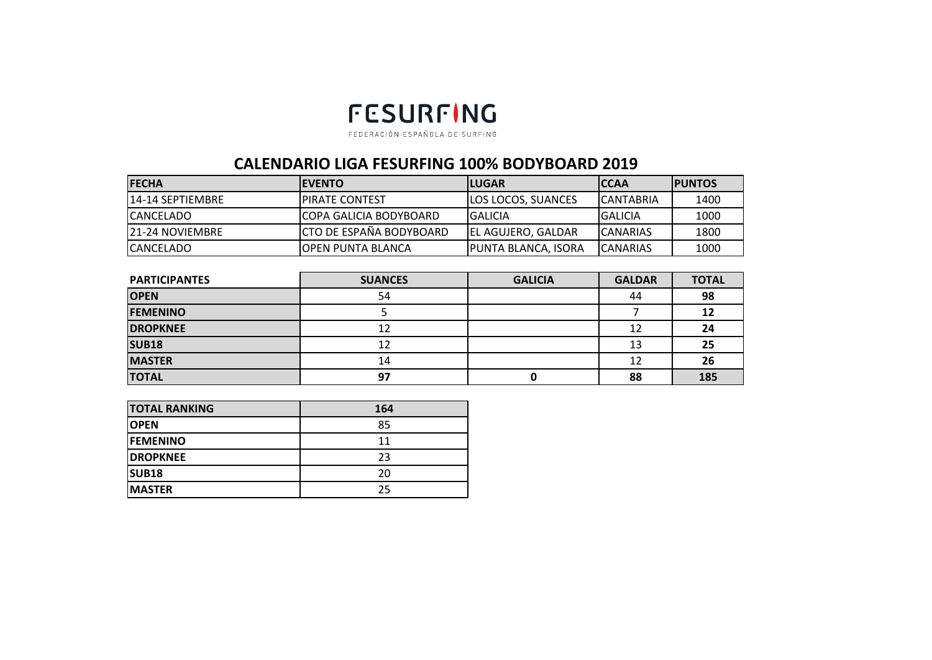

FEDERACIÓN ESPAÑOLA DE SURFING

#### **CALENDARIO LIGA FESURFING 100% BODYBOARD 2019**

| <b>IFECHA</b>          | <b>IEVENTO</b>                  | ILUGAR                     | <b>ICCAA</b>      | <b>IPUNTOS</b> |
|------------------------|---------------------------------|----------------------------|-------------------|----------------|
| 114-14 SEPTIEMBRE      | <b>IPIRATE CONTEST</b>          | LOS LOCOS, SUANCES         | <b>ICANTABRIA</b> | 1400           |
| <b>CANCELADO</b>       | ICOPA GALICIA BODYBOARD         | IGALICIA                   | <b>IGALICIA</b>   | 1000           |
| <b>21-24 NOVIEMBRE</b> | <b>ICTO DE ESPAÑA BODYBOARD</b> | IEL AGUJERO. GALDAR        | <b>ICANARIAS</b>  | 1800           |
| <b>ICANCELADO</b>      | <b>IOPEN PUNTA BLANCA</b>       | <b>PUNTA BLANCA, ISORA</b> | <b>ICANARIAS</b>  | 1000           |

| <b>PARTICIPANTES</b> | <b>SUANCES</b> | <b>GALICIA</b> | <b>GALDAR</b> | <b>TOTAL</b> |
|----------------------|----------------|----------------|---------------|--------------|
| <b>OPEN</b>          | 54             |                | 44            | 98           |
| <b>FEMENINO</b>      |                |                |               | 12           |
| <b>DROPKNEE</b>      |                |                | 12            | 24           |
| <b>SUB18</b>         | 12             |                | 13            | 25           |
| <b>MASTER</b>        | 14             |                | 12            | 26           |
| <b>TOTAL</b>         | 97             |                | 88            | 185          |

| <b>TOTAL RANKING</b> | 164 |
|----------------------|-----|
| <b>OPEN</b>          | 85  |
| <b>FEMENINO</b>      | 11  |
| <b>DROPKNEE</b>      | 23  |
| <b>SUB18</b>         | 20  |
| <b>MASTER</b>        | 25  |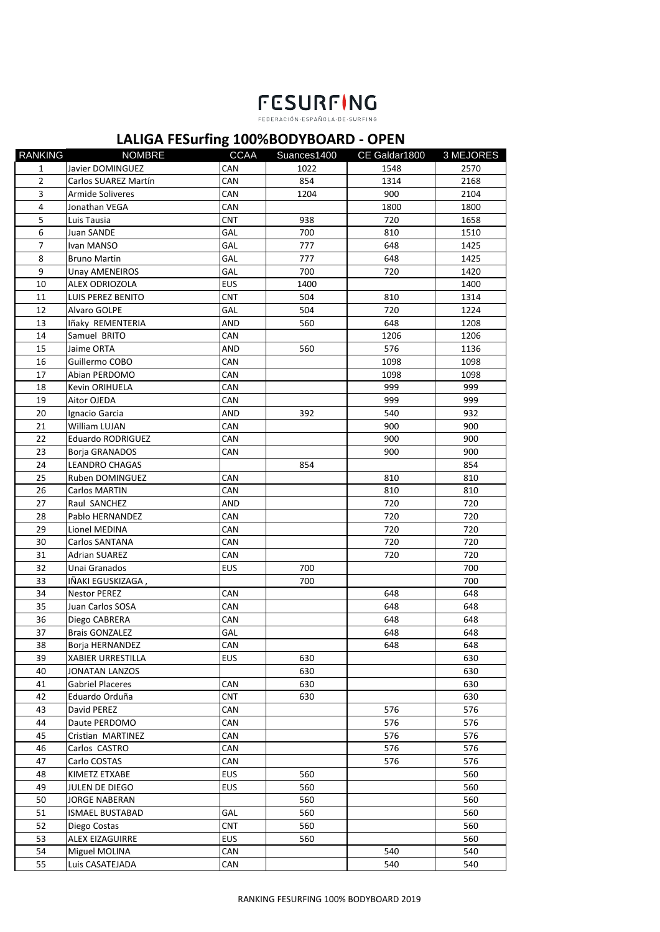#### **LALIGA FESurfing 100%BODYBOARD - OPEN**

| <b>RANKING</b> | <b>NOMBRE</b>                             | <b>CCAA</b> | Suances1400 | CE Galdar1800 | 3 MEJORES  |
|----------------|-------------------------------------------|-------------|-------------|---------------|------------|
| 1              | Javier DOMINGUEZ                          | CAN         | 1022        | 1548          | 2570       |
| $\overline{2}$ | Carlos SUAREZ Martín                      | CAN         | 854         | 1314          | 2168       |
| 3              | Armide Soliveres                          | CAN         | 1204        | 900           | 2104       |
| 4              | Jonathan VEGA                             | CAN         |             | 1800          | 1800       |
| 5              | Luis Tausia                               | <b>CNT</b>  | 938         | 720           | 1658       |
| 6              | Juan SANDE                                | <b>GAL</b>  | 700         | 810           | 1510       |
| $\overline{7}$ | Ivan MANSO                                | GAL         | 777         | 648           | 1425       |
| 8              | <b>Bruno Martin</b>                       | <b>GAL</b>  | 777         | 648           | 1425       |
| 9              | Unay AMENEIROS                            | GAL         | 700         | 720           | 1420       |
| 10             | ALEX ODRIOZOLA                            | <b>EUS</b>  | 1400        |               | 1400       |
| 11             | LUIS PEREZ BENITO                         | <b>CNT</b>  | 504         | 810           | 1314       |
| 12             | Alvaro GOLPE                              | <b>GAL</b>  | 504         | 720           | 1224       |
| 13             | Iñaky REMENTERIA                          | AND         | 560         | 648           | 1208       |
| 14             | Samuel BRITO                              | CAN         |             | 1206          | 1206       |
| 15             | Jaime ORTA                                | AND         | 560         | 576           | 1136       |
| 16             | Guillermo COBO                            | CAN         |             | 1098          | 1098       |
| 17             | Abian PERDOMO                             | CAN         |             | 1098          | 1098       |
| 18             | Kevin ORIHUELA                            | CAN         |             | 999           | 999        |
| 19             | Aitor OJEDA                               | CAN         |             | 999           | 999        |
| 20             | Ignacio Garcia                            | AND         | 392         | 540           | 932        |
| 21             | William LUJAN                             | CAN         |             | 900           | 900        |
| 22             | Eduardo RODRIGUEZ                         | CAN         |             | 900           | 900        |
| 23             | <b>Boria GRANADOS</b>                     | CAN         |             | 900           | 900        |
| 24             | <b>LEANDRO CHAGAS</b>                     |             | 854         |               | 854        |
| 25             | Ruben DOMINGUEZ                           | CAN         |             | 810           | 810        |
| 26             | Carlos MARTIN                             | CAN         |             | 810           | 810        |
| 27             | Raul SANCHEZ                              | <b>AND</b>  |             | 720           | 720        |
| 28             | Pablo HERNANDEZ                           | CAN         |             | 720           | 720        |
| 29             | Lionel MEDINA                             | CAN         |             | 720           | 720        |
| 30             | Carlos SANTANA                            | CAN         |             | 720           | 720        |
| 31             | <b>Adrian SUAREZ</b>                      | CAN         |             | 720           | 720        |
| 32             | Unai Granados                             | <b>EUS</b>  | 700         |               | 700        |
| 33             | IÑAKI EGUSKIZAGA,                         |             | 700         |               | 700        |
| 34             | <b>Nestor PEREZ</b>                       | CAN         |             | 648           | 648        |
| 35             | Juan Carlos SOSA                          | CAN         |             | 648           | 648        |
| 36             | Diego CABRERA                             | CAN         |             | 648           | 648        |
| 37             | <b>Brais GONZALEZ</b>                     | GAL         |             | 648           | 648        |
| 38             | Borja HERNANDEZ                           | CAN         |             | 648           | 648        |
| 39             | <b>XABIER URRESTILLA</b>                  | <b>EUS</b>  | 630         |               | 630        |
| 40             | <b>JONATAN LANZOS</b>                     | CAN         | 630<br>630  |               | 630        |
| 41<br>42       | <b>Gabriel Placeres</b><br>Eduardo Orduña | <b>CNT</b>  | 630         |               | 630<br>630 |
| 43             | David PEREZ                               | CAN         |             | 576           | 576        |
| 44             | Daute PERDOMO                             | CAN         |             | 576           | 576        |
| 45             |                                           | CAN         |             | 576           | 576        |
| 46             | Cristian MARTINEZ<br>Carlos CASTRO        | CAN         |             | 576           | 576        |
| 47             | Carlo COSTAS                              | CAN         |             | 576           | 576        |
| 48             | KIMETZ ETXABE                             | <b>EUS</b>  | 560         |               | 560        |
| 49             | JULEN DE DIEGO                            | <b>EUS</b>  | 560         |               | 560        |
| 50             | <b>JORGE NABERAN</b>                      |             | 560         |               | 560        |
| 51             | <b>ISMAEL BUSTABAD</b>                    | GAL         | 560         |               | 560        |
| 52             | Diego Costas                              | <b>CNT</b>  | 560         |               | 560        |
| 53             | ALEX EIZAGUIRRE                           | <b>EUS</b>  | 560         |               | 560        |
| 54             | Miguel MOLINA                             | CAN         |             | 540           | 540        |
| 55             | Luis CASATEJADA                           | CAN         |             | 540           | 540        |
|                |                                           |             |             |               |            |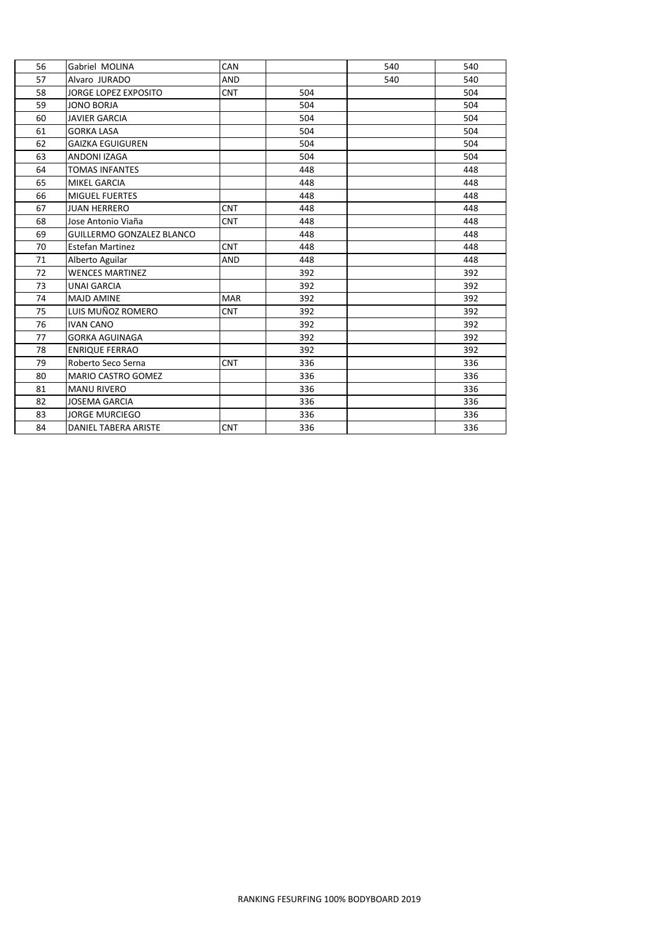| 56 | Gabriel MOLINA                   | CAN        |     | 540 | 540 |
|----|----------------------------------|------------|-----|-----|-----|
| 57 | Alvaro JURADO                    | <b>AND</b> |     | 540 | 540 |
| 58 | JORGE LOPEZ EXPOSITO             | <b>CNT</b> | 504 |     | 504 |
| 59 | <b>JONO BORJA</b>                |            | 504 |     | 504 |
| 60 | <b>JAVIER GARCIA</b>             |            | 504 |     | 504 |
| 61 | <b>GORKA LASA</b>                |            | 504 |     | 504 |
| 62 | <b>GAIZKA EGUIGUREN</b>          |            | 504 |     | 504 |
| 63 | <b>ANDONI IZAGA</b>              |            | 504 |     | 504 |
| 64 | <b>TOMAS INFANTES</b>            |            | 448 |     | 448 |
| 65 | <b>MIKEL GARCIA</b>              |            | 448 |     | 448 |
| 66 | <b>MIGUEL FUERTES</b>            |            | 448 |     | 448 |
| 67 | <b>JUAN HERRERO</b>              | <b>CNT</b> | 448 |     | 448 |
| 68 | Jose Antonio Viaña               | <b>CNT</b> | 448 |     | 448 |
| 69 | <b>GUILLERMO GONZALEZ BLANCO</b> |            | 448 |     | 448 |
| 70 | <b>Estefan Martinez</b>          | <b>CNT</b> | 448 |     | 448 |
| 71 | Alberto Aguilar                  | AND        | 448 |     | 448 |
| 72 | <b>WENCES MARTINEZ</b>           |            | 392 |     | 392 |
| 73 | UNAI GARCIA                      |            | 392 |     | 392 |
| 74 | <b>MAJD AMINE</b>                | <b>MAR</b> | 392 |     | 392 |
| 75 | LUIS MUÑOZ ROMERO                | <b>CNT</b> | 392 |     | 392 |
| 76 | <b>IVAN CANO</b>                 |            | 392 |     | 392 |
| 77 | <b>GORKA AGUINAGA</b>            |            | 392 |     | 392 |
| 78 | <b>ENRIQUE FERRAO</b>            |            | 392 |     | 392 |
| 79 | Roberto Seco Serna               | <b>CNT</b> | 336 |     | 336 |
| 80 | MARIO CASTRO GOMEZ               |            | 336 |     | 336 |
| 81 | <b>MANU RIVERO</b>               |            | 336 |     | 336 |
| 82 | <b>JOSEMA GARCIA</b>             |            | 336 |     | 336 |
| 83 | <b>JORGE MURCIEGO</b>            |            | 336 |     | 336 |
| 84 | DANIEL TABERA ARISTE             | <b>CNT</b> | 336 |     | 336 |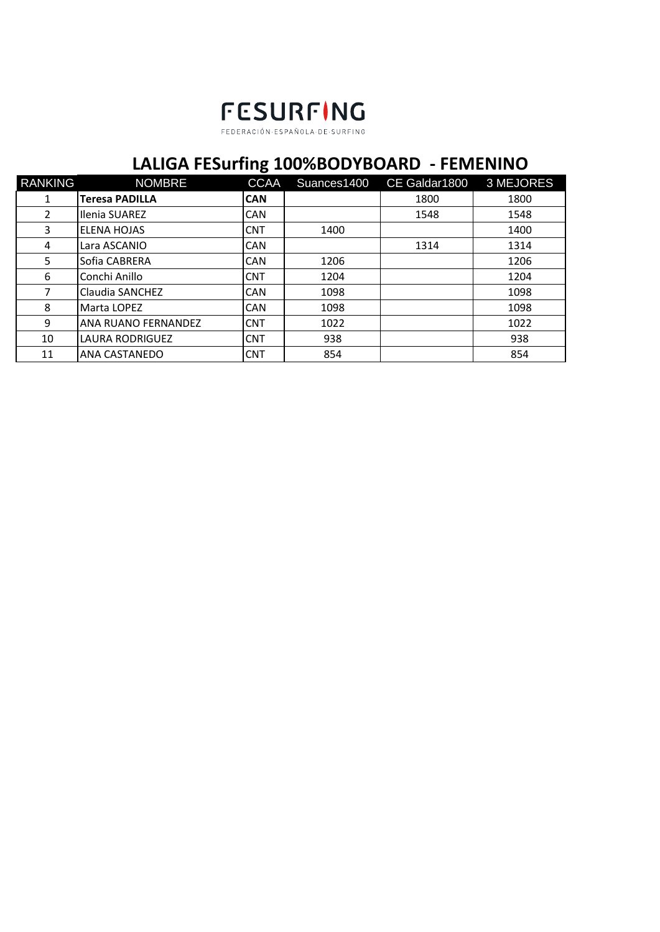FEDERACIÓN·ESPAÑOLA·DE·SURFING

### LALIGA FESurfing 100%BODYBOARD - FEMENINO

| <b>RANKING</b> | <b>NOMBRE</b>          | <b>CCAA</b> | Suances1400 | CE Galdar1800 | 3 MEJORES |
|----------------|------------------------|-------------|-------------|---------------|-----------|
| 1              | <b>Teresa PADILLA</b>  | <b>CAN</b>  |             | 1800          | 1800      |
| $\overline{2}$ | Ilenia SUAREZ          | <b>CAN</b>  |             | 1548          | 1548      |
| 3              | <b>ELENA HOJAS</b>     | <b>CNT</b>  | 1400        |               | 1400      |
| 4              | Lara ASCANIO           | <b>CAN</b>  |             | 1314          | 1314      |
| 5              | Sofia CABRERA          | <b>CAN</b>  | 1206        |               | 1206      |
| 6              | Conchi Anillo          | <b>CNT</b>  | 1204        |               | 1204      |
| 7              | Claudia SANCHEZ        | <b>CAN</b>  | 1098        |               | 1098      |
| 8              | Marta LOPEZ            | <b>CAN</b>  | 1098        |               | 1098      |
| 9              | ANA RUANO FERNANDEZ    | <b>CNT</b>  | 1022        |               | 1022      |
| 10             | <b>LAURA RODRIGUEZ</b> | <b>CNT</b>  | 938         |               | 938       |
| 11             | ANA CASTANEDO          | <b>CNT</b>  | 854         |               | 854       |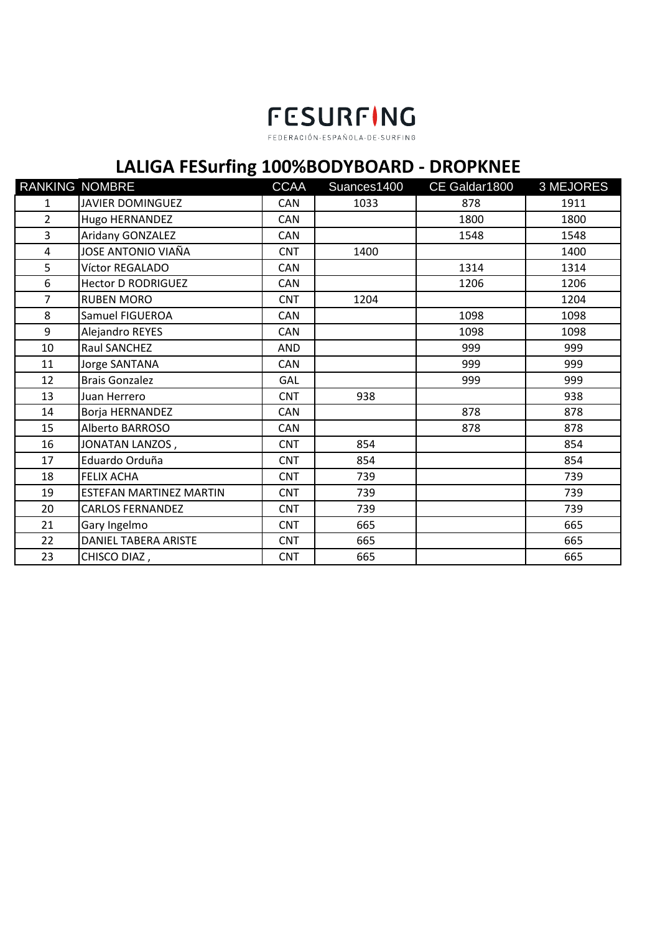FEDERACIÓN ESPAÑOLA DE SURFING

#### **LALIGA FESurfing 100%BODYBOARD - DROPKNEE**

| <b>RANKING NOMBRE</b> |                                | <b>CCAA</b> | Suances1400 | CE Galdar1800 | 3 MEJORES |
|-----------------------|--------------------------------|-------------|-------------|---------------|-----------|
| 1                     | JAVIER DOMINGUEZ               | <b>CAN</b>  | 1033        | 878           | 1911      |
| $\overline{2}$        | Hugo HERNANDEZ                 | <b>CAN</b>  |             | 1800          | 1800      |
| $\overline{3}$        | Aridany GONZALEZ               | <b>CAN</b>  |             | 1548          | 1548      |
| 4                     | JOSE ANTONIO VIAÑA             | <b>CNT</b>  | 1400        |               | 1400      |
| 5                     | Víctor REGALADO                | <b>CAN</b>  |             | 1314          | 1314      |
| 6                     | <b>Hector D RODRIGUEZ</b>      | <b>CAN</b>  |             | 1206          | 1206      |
| $\overline{7}$        | <b>RUBEN MORO</b>              | <b>CNT</b>  | 1204        |               | 1204      |
| 8                     | Samuel FIGUEROA                | <b>CAN</b>  |             | 1098          | 1098      |
| 9                     | Alejandro REYES                | <b>CAN</b>  |             | 1098          | 1098      |
| 10                    | Raul SANCHEZ                   | <b>AND</b>  |             | 999           | 999       |
| 11                    | Jorge SANTANA                  | <b>CAN</b>  |             | 999           | 999       |
| 12                    | <b>Brais Gonzalez</b>          | GAL         |             | 999           | 999       |
| 13                    | Juan Herrero                   | <b>CNT</b>  | 938         |               | 938       |
| 14                    | Borja HERNANDEZ                | <b>CAN</b>  |             | 878           | 878       |
| 15                    | Alberto BARROSO                | <b>CAN</b>  |             | 878           | 878       |
| 16                    | JONATAN LANZOS,                | <b>CNT</b>  | 854         |               | 854       |
| 17                    | Eduardo Orduña                 | <b>CNT</b>  | 854         |               | 854       |
| 18                    | <b>FELIX ACHA</b>              | <b>CNT</b>  | 739         |               | 739       |
| 19                    | <b>ESTEFAN MARTINEZ MARTIN</b> | <b>CNT</b>  | 739         |               | 739       |
| 20                    | <b>CARLOS FERNANDEZ</b>        | <b>CNT</b>  | 739         |               | 739       |
| 21                    | Gary Ingelmo                   | <b>CNT</b>  | 665         |               | 665       |
| 22                    | DANIEL TABERA ARISTE           | <b>CNT</b>  | 665         |               | 665       |
| 23                    | CHISCO DIAZ,                   | <b>CNT</b>  | 665         |               | 665       |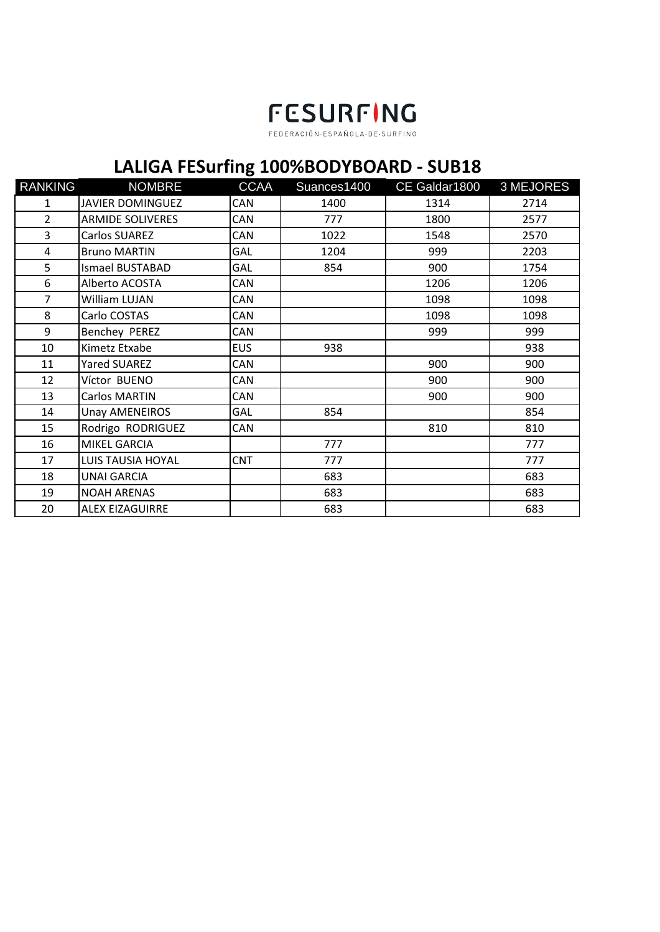

FEDERACIÓN ESPAÑOLA DE SURFING

### LALIGA FESurfing 100%BODYBOARD - SUB18

| <b>RANKING</b> | <b>NOMBRE</b>           | <b>CCAA</b> | Suances1400 | CE Galdar1800 | <b>3 MEJORES</b> |
|----------------|-------------------------|-------------|-------------|---------------|------------------|
| $\mathbf{1}$   | <b>JAVIER DOMINGUEZ</b> | CAN         | 1400        | 1314          | 2714             |
| $\overline{2}$ | <b>ARMIDE SOLIVERES</b> | CAN         | 777         | 1800          | 2577             |
| 3              | Carlos SUAREZ           | <b>CAN</b>  | 1022        | 1548          | 2570             |
| 4              | <b>Bruno MARTIN</b>     | GAL         | 1204        | 999           | 2203             |
| 5              | <b>Ismael BUSTABAD</b>  | GAL         | 854         | 900           | 1754             |
| 6              | Alberto ACOSTA          | CAN         |             | 1206          | 1206             |
| $\overline{7}$ | William LUJAN           | CAN         |             | 1098          | 1098             |
| 8              | Carlo COSTAS            | CAN         |             | 1098          | 1098             |
| 9              | Benchey PEREZ           | CAN         |             | 999           | 999              |
| 10             | Kimetz Etxabe           | <b>EUS</b>  | 938         |               | 938              |
| 11             | <b>Yared SUAREZ</b>     | CAN         |             | 900           | 900              |
| 12             | Víctor BUENO            | CAN         |             | 900           | 900              |
| 13             | Carlos MARTIN           | CAN         |             | 900           | 900              |
| 14             | <b>Unay AMENEIROS</b>   | GAL         | 854         |               | 854              |
| 15             | Rodrigo RODRIGUEZ       | CAN         |             | 810           | 810              |
| 16             | <b>MIKEL GARCIA</b>     |             | 777         |               | 777              |
| 17             | LUIS TAUSIA HOYAL       | <b>CNT</b>  | 777         |               | 777              |
| 18             | <b>UNAI GARCIA</b>      |             | 683         |               | 683              |
| 19             | <b>NOAH ARENAS</b>      |             | 683         |               | 683              |
| 20             | <b>ALEX EIZAGUIRRE</b>  |             | 683         |               | 683              |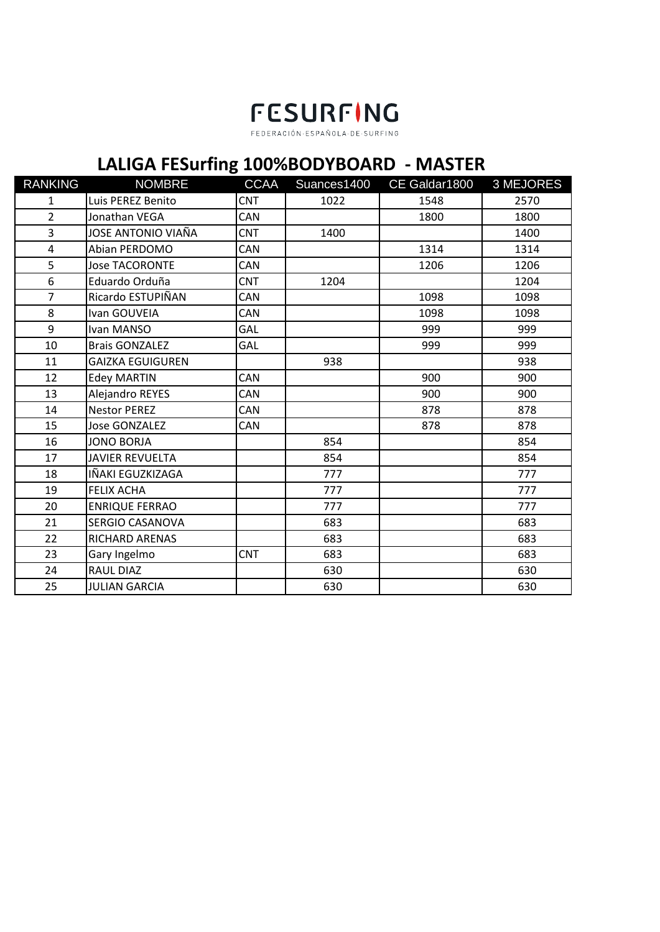FEDERACIÓN ESPAÑOLA DE SURFING

### **LALIGA FESurfing 100%BODYBOARD - MASTER**

| <b>RANKING</b> | <b>NOMBRE</b>           | <b>CCAA</b> | Suances1400 | CE Galdar1800 | 3 MEJORES |
|----------------|-------------------------|-------------|-------------|---------------|-----------|
| $\mathbf{1}$   | Luis PEREZ Benito       | <b>CNT</b>  | 1022        | 1548          | 2570      |
| $\overline{2}$ | Jonathan VEGA           | <b>CAN</b>  |             | 1800          | 1800      |
| 3              | JOSE ANTONIO VIAÑA      | <b>CNT</b>  | 1400        |               | 1400      |
| 4              | Abian PERDOMO           | CAN         |             | 1314          | 1314      |
| 5              | <b>Jose TACORONTE</b>   | CAN         |             | 1206          | 1206      |
| 6              | Eduardo Orduña          | <b>CNT</b>  | 1204        |               | 1204      |
| $\overline{7}$ | Ricardo ESTUPIÑAN       | <b>CAN</b>  |             | 1098          | 1098      |
| 8              | Ivan GOUVEIA            | <b>CAN</b>  |             | 1098          | 1098      |
| 9              | Ivan MANSO              | GAL         |             | 999           | 999       |
| 10             | <b>Brais GONZALEZ</b>   | GAL         |             | 999           | 999       |
| 11             | <b>GAIZKA EGUIGUREN</b> |             | 938         |               | 938       |
| 12             | <b>Edey MARTIN</b>      | <b>CAN</b>  |             | 900           | 900       |
| 13             | <b>Alejandro REYES</b>  | CAN         |             | 900           | 900       |
| 14             | <b>Nestor PEREZ</b>     | <b>CAN</b>  |             | 878           | 878       |
| 15             | Jose GONZALEZ           | CAN         |             | 878           | 878       |
| 16             | <b>JONO BORJA</b>       |             | 854         |               | 854       |
| 17             | <b>JAVIER REVUELTA</b>  |             | 854         |               | 854       |
| 18             | IÑAKI EGUZKIZAGA        |             | 777         |               | 777       |
| 19             | <b>FELIX ACHA</b>       |             | 777         |               | 777       |
| 20             | <b>ENRIQUE FERRAO</b>   |             | 777         |               | 777       |
| 21             | SERGIO CASANOVA         |             | 683         |               | 683       |
| 22             | <b>RICHARD ARENAS</b>   |             | 683         |               | 683       |
| 23             | Gary Ingelmo            | <b>CNT</b>  | 683         |               | 683       |
| 24             | <b>RAUL DIAZ</b>        |             | 630         |               | 630       |
| 25             | <b>JULIAN GARCIA</b>    |             | 630         |               | 630       |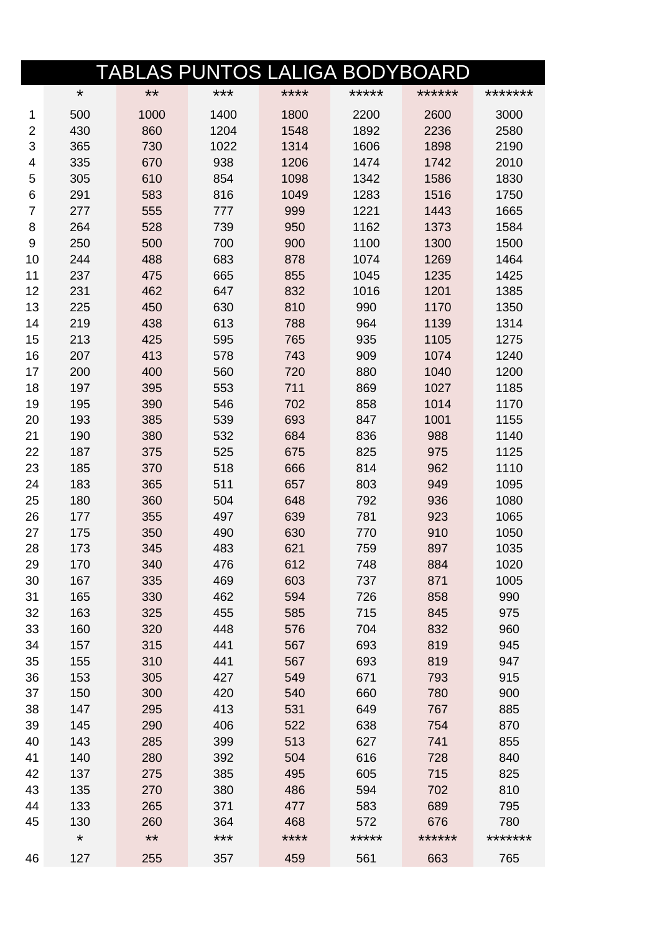|    | TABLAS PUNTOS LALIGA BODYBOARD |       |      |      |       |        |         |  |  |
|----|--------------------------------|-------|------|------|-------|--------|---------|--|--|
|    | $^\star$                       | $***$ | ***  | **** | ***** | ****** | ******* |  |  |
| 1  | 500                            | 1000  | 1400 | 1800 | 2200  | 2600   | 3000    |  |  |
| 2  | 430                            | 860   | 1204 | 1548 | 1892  | 2236   | 2580    |  |  |
| 3  | 365                            | 730   | 1022 | 1314 | 1606  | 1898   | 2190    |  |  |
| 4  | 335                            | 670   | 938  | 1206 | 1474  | 1742   | 2010    |  |  |
| 5  | 305                            | 610   | 854  | 1098 | 1342  | 1586   | 1830    |  |  |
| 6  | 291                            | 583   | 816  | 1049 | 1283  | 1516   | 1750    |  |  |
| 7  | 277                            | 555   | 777  | 999  | 1221  | 1443   | 1665    |  |  |
| 8  | 264                            | 528   | 739  | 950  | 1162  | 1373   | 1584    |  |  |
| 9  | 250                            | 500   | 700  | 900  | 1100  | 1300   | 1500    |  |  |
| 10 | 244                            | 488   | 683  | 878  | 1074  | 1269   | 1464    |  |  |
| 11 | 237                            | 475   | 665  | 855  | 1045  | 1235   | 1425    |  |  |
| 12 | 231                            | 462   | 647  | 832  | 1016  | 1201   | 1385    |  |  |
| 13 | 225                            | 450   | 630  | 810  | 990   | 1170   | 1350    |  |  |
| 14 | 219                            | 438   | 613  | 788  | 964   | 1139   | 1314    |  |  |
| 15 | 213                            | 425   | 595  | 765  | 935   | 1105   | 1275    |  |  |
| 16 | 207                            | 413   | 578  | 743  | 909   | 1074   | 1240    |  |  |
| 17 | 200                            | 400   | 560  | 720  | 880   | 1040   | 1200    |  |  |
| 18 | 197                            | 395   | 553  | 711  | 869   | 1027   | 1185    |  |  |
| 19 | 195                            | 390   | 546  | 702  | 858   | 1014   | 1170    |  |  |
| 20 | 193                            | 385   | 539  | 693  | 847   | 1001   | 1155    |  |  |
| 21 | 190                            | 380   | 532  | 684  | 836   | 988    | 1140    |  |  |
| 22 | 187                            | 375   | 525  | 675  | 825   | 975    | 1125    |  |  |
| 23 | 185                            | 370   | 518  | 666  | 814   | 962    | 1110    |  |  |
| 24 | 183                            | 365   | 511  | 657  | 803   | 949    | 1095    |  |  |
| 25 | 180                            | 360   | 504  | 648  | 792   | 936    | 1080    |  |  |
| 26 | 177                            | 355   | 497  | 639  | 781   | 923    | 1065    |  |  |
| 27 | 175                            | 350   | 490  | 630  | 770   | 910    | 1050    |  |  |
| 28 | 173                            | 345   | 483  | 621  | 759   | 897    | 1035    |  |  |
| 29 | 170                            | 340   | 476  | 612  | 748   | 884    | 1020    |  |  |
| 30 | 167                            | 335   | 469  | 603  | 737   | 871    | 1005    |  |  |
| 31 | 165                            | 330   | 462  | 594  | 726   | 858    | 990     |  |  |
| 32 | 163                            | 325   | 455  | 585  | 715   | 845    | 975     |  |  |
| 33 | 160                            | 320   | 448  | 576  | 704   | 832    | 960     |  |  |
| 34 | 157                            | 315   | 441  | 567  | 693   | 819    | 945     |  |  |
| 35 | 155                            | 310   | 441  | 567  | 693   | 819    | 947     |  |  |
| 36 | 153                            | 305   | 427  | 549  | 671   | 793    | 915     |  |  |
| 37 | 150                            | 300   | 420  | 540  | 660   | 780    | 900     |  |  |
| 38 | 147                            | 295   | 413  | 531  | 649   | 767    | 885     |  |  |
| 39 | 145                            | 290   | 406  | 522  | 638   | 754    | 870     |  |  |
| 40 | 143                            | 285   | 399  | 513  | 627   | 741    | 855     |  |  |
| 41 | 140                            | 280   | 392  | 504  | 616   | 728    | 840     |  |  |
| 42 | 137                            | 275   | 385  | 495  | 605   | 715    | 825     |  |  |
| 43 | 135                            | 270   | 380  | 486  | 594   | 702    | 810     |  |  |
| 44 | 133                            | 265   | 371  | 477  | 583   | 689    | 795     |  |  |
| 45 | 130                            | 260   | 364  | 468  | 572   | 676    | 780     |  |  |
|    | $^\star$                       | $***$ | ***  | **** | ***** | ****** | ******* |  |  |
| 46 | 127                            | 255   | 357  | 459  | 561   | 663    | 765     |  |  |